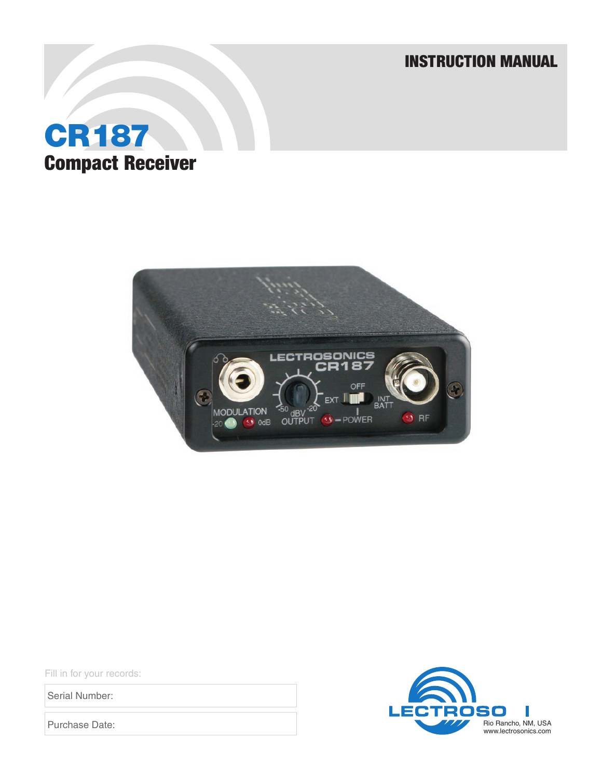INSTRUCTION MANUAL





Fill in for your records:

Serial Number:

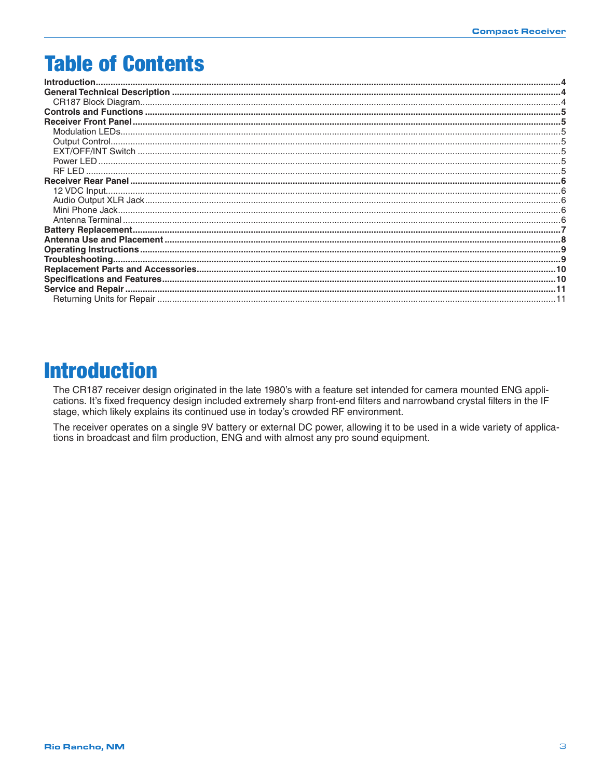# **Table of Contents**

# **Introduction**

The CR187 receiver design originated in the late 1980's with a feature set intended for camera mounted ENG applications. It's fixed frequency design included extremely sharp front-end filters and narrowband crystal filters in the IF stage, which likely explains its continued use in today's crowded RF environment.

The receiver operates on a single 9V battery or external DC power, allowing it to be used in a wide variety of applications in broadcast and film production, ENG and with almost any pro sound equipment.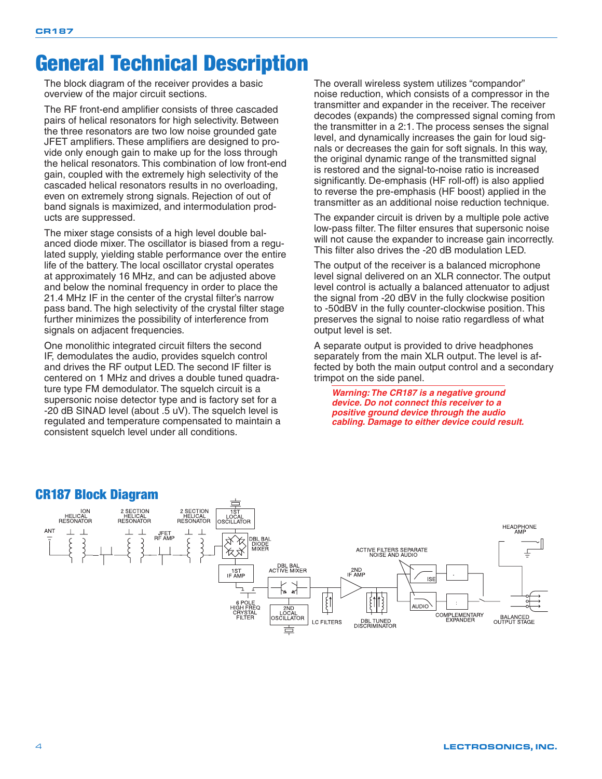# <span id="page-3-0"></span>General Technical Description

The block diagram of the receiver provides a basic overview of the major circuit sections.

The RF front-end amplifier consists of three cascaded pairs of helical resonators for high selectivity. Between the three resonators are two low noise grounded gate JFET amplifiers. These amplifiers are designed to provide only enough gain to make up for the loss through the helical resonators. This combination of low front-end gain, coupled with the extremely high selectivity of the cascaded helical resonators results in no overloading, even on extremely strong signals. Rejection of out of band signals is maximized, and intermodulation products are suppressed.

The mixer stage consists of a high level double balanced diode mixer. The oscillator is biased from a regulated supply, yielding stable performance over the entire life of the battery. The local oscillator crystal operates at approximately 16 MHz, and can be adjusted above and below the nominal frequency in order to place the 21.4 MHz IF in the center of the crystal filter's narrow pass band. The high selectivity of the crystal filter stage further minimizes the possibility of interference from signals on adjacent frequencies.

One monolithic integrated circuit filters the second IF, demodulates the audio, provides squelch control and drives the RF output LED. The second IF filter is centered on 1 MHz and drives a double tuned quadrature type FM demodulator. The squelch circuit is a supersonic noise detector type and is factory set for a -20 dB SINAD level (about .5 uV). The squelch level is regulated and temperature compensated to maintain a consistent squelch level under all conditions.

The overall wireless system utilizes "compandor" noise reduction, which consists of a compressor in the transmitter and expander in the receiver. The receiver decodes (expands) the compressed signal coming from the transmitter in a 2:1. The process senses the signal level, and dynamically increases the gain for loud signals or decreases the gain for soft signals. In this way, the original dynamic range of the transmitted signal is restored and the signal-to-noise ratio is increased significantly. De-emphasis (HF roll-off) is also applied to reverse the pre-emphasis (HF boost) applied in the transmitter as an additional noise reduction technique.

The expander circuit is driven by a multiple pole active low-pass filter. The filter ensures that supersonic noise will not cause the expander to increase gain incorrectly. This filter also drives the -20 dB modulation LED.

The output of the receiver is a balanced microphone level signal delivered on an XLR connector. The output level control is actually a balanced attenuator to adjust the signal from -20 dBV in the fully clockwise position to -50dBV in the fully counter-clockwise position. This preserves the signal to noise ratio regardless of what output level is set.

A separate output is provided to drive headphones separately from the main XLR output. The level is affected by both the main output control and a secondary trimpot on the side panel.

*Warning: The CR187 is a negative ground device. Do not connect this receiver to a positive ground device through the audio cabling. Damage to either device could result.* 



#### CR187 Block Diagram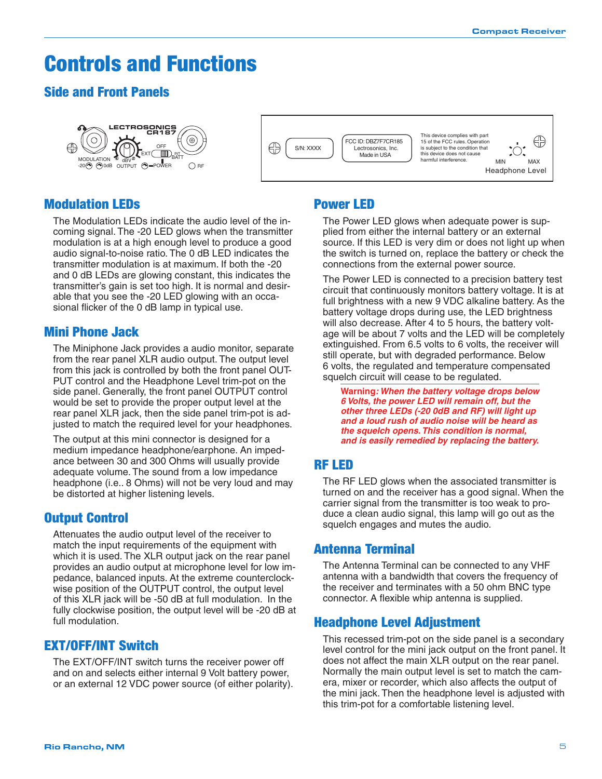# <span id="page-4-0"></span>Controls and Functions

### Side and Front Panels





### Modulation LEDs

The Modulation LEDs indicate the audio level of the incoming signal. The -20 LED glows when the transmitter modulation is at a high enough level to produce a good audio signal-to-noise ratio. The 0 dB LED indicates the transmitter modulation is at maximum. If both the -20 and 0 dB LEDs are glowing constant, this indicates the transmitter's gain is set too high. It is normal and desirable that you see the -20 LED glowing with an occasional flicker of the 0 dB lamp in typical use.

#### Mini Phone Jack

The Miniphone Jack provides a audio monitor, separate from the rear panel XLR audio output. The output level from this jack is controlled by both the front panel OUT-PUT control and the Headphone Level trim-pot on the side panel. Generally, the front panel OUTPUT control would be set to provide the proper output level at the rear panel XLR jack, then the side panel trim-pot is adjusted to match the required level for your headphones.

The output at this mini connector is designed for a medium impedance headphone/earphone. An impedance between 30 and 300 Ohms will usually provide adequate volume. The sound from a low impedance headphone (i.e.. 8 Ohms) will not be very loud and may be distorted at higher listening levels.

### Output Control

Attenuates the audio output level of the receiver to match the input requirements of the equipment with which it is used. The XLR output jack on the rear panel provides an audio output at microphone level for low impedance, balanced inputs. At the extreme counterclockwise position of the OUTPUT control, the output level of this XLR jack will be -50 dB at full modulation. In the fully clockwise position, the output level will be -20 dB at full modulation.

### EXT/OFF/INT Switch

The EXT/OFF/INT switch turns the receiver power off and on and selects either internal 9 Volt battery power, or an external 12 VDC power source (of either polarity).

### Power LED

The Power LED glows when adequate power is supplied from either the internal battery or an external source. If this LED is very dim or does not light up when the switch is turned on, replace the battery or check the connections from the external power source.

The Power LED is connected to a precision battery test circuit that continuously monitors battery voltage. It is at full brightness with a new 9 VDC alkaline battery. As the battery voltage drops during use, the LED brightness will also decrease. After 4 to 5 hours, the battery voltage will be about 7 volts and the LED will be completely extinguished. From 6.5 volts to 6 volts, the receiver will still operate, but with degraded performance. Below 6 volts, the regulated and temperature compensated squelch circuit will cease to be regulated.

**Warning***: When the battery voltage drops below 6 Volts, the power LED will remain off, but the other three LEDs (-20 0dB and RF) will light up and a loud rush of audio noise will be heard as the squelch opens.This condition is normal, and is easily remedied by replacing the battery.* 

### RF LED

The RF LED glows when the associated transmitter is turned on and the receiver has a good signal. When the carrier signal from the transmitter is too weak to produce a clean audio signal, this lamp will go out as the squelch engages and mutes the audio.

#### Antenna Terminal

The Antenna Terminal can be connected to any VHF antenna with a bandwidth that covers the frequency of the receiver and terminates with a 50 ohm BNC type connector. A flexible whip antenna is supplied.

### Headphone Level Adjustment

This recessed trim-pot on the side panel is a secondary level control for the mini jack output on the front panel. It does not affect the main XLR output on the rear panel. Normally the main output level is set to match the camera, mixer or recorder, which also affects the output of the mini jack. Then the headphone level is adjusted with this trim-pot for a comfortable listening level.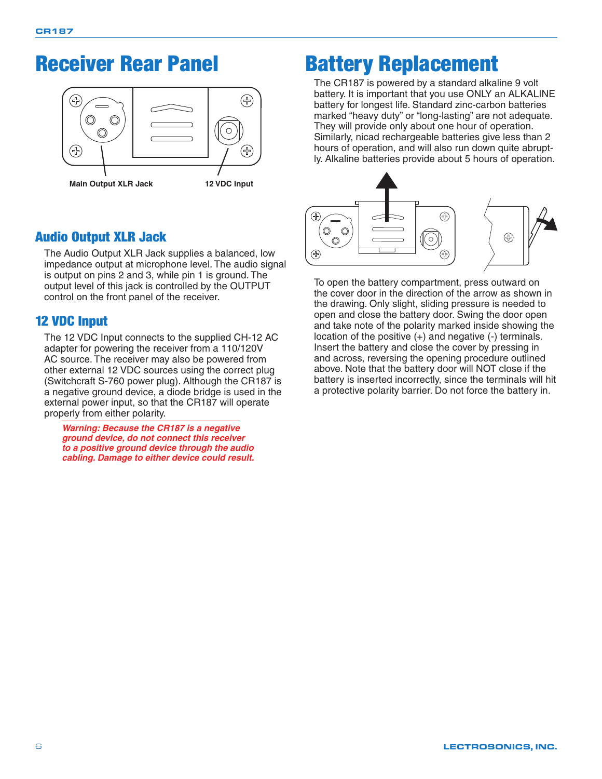# <span id="page-5-0"></span>Receiver Rear Panel



## Audio Output XLR Jack

The Audio Output XLR Jack supplies a balanced, low impedance output at microphone level. The audio signal is output on pins 2 and 3, while pin 1 is ground. The output level of this jack is controlled by the OUTPUT control on the front panel of the receiver.

### 12 VDC Input

The 12 VDC Input connects to the supplied CH-12 AC adapter for powering the receiver from a 110/120V AC source. The receiver may also be powered from other external 12 VDC sources using the correct plug (Switchcraft S-760 power plug). Although the CR187 is a negative ground device, a diode bridge is used in the external power input, so that the CR187 will operate properly from either polarity.

*Warning: Because the CR187 is a negative ground device, do not connect this receiver to a positive ground device through the audio cabling. Damage to either device could result.* 

# Battery Replacement

The CR187 is powered by a standard alkaline 9 volt battery. It is important that you use ONLY an ALKALINE battery for longest life. Standard zinc-carbon batteries marked "heavy duty" or "long-lasting" are not adequate. They will provide only about one hour of operation. Similarly, nicad rechargeable batteries give less than 2 hours of operation, and will also run down quite abruptly. Alkaline batteries provide about 5 hours of operation.



To open the battery compartment, press outward on the cover door in the direction of the arrow as shown in the drawing. Only slight, sliding pressure is needed to open and close the battery door. Swing the door open and take note of the polarity marked inside showing the location of the positive (+) and negative (-) terminals. Insert the battery and close the cover by pressing in and across, reversing the opening procedure outlined above. Note that the battery door will NOT close if the battery is inserted incorrectly, since the terminals will hit a protective polarity barrier. Do not force the battery in.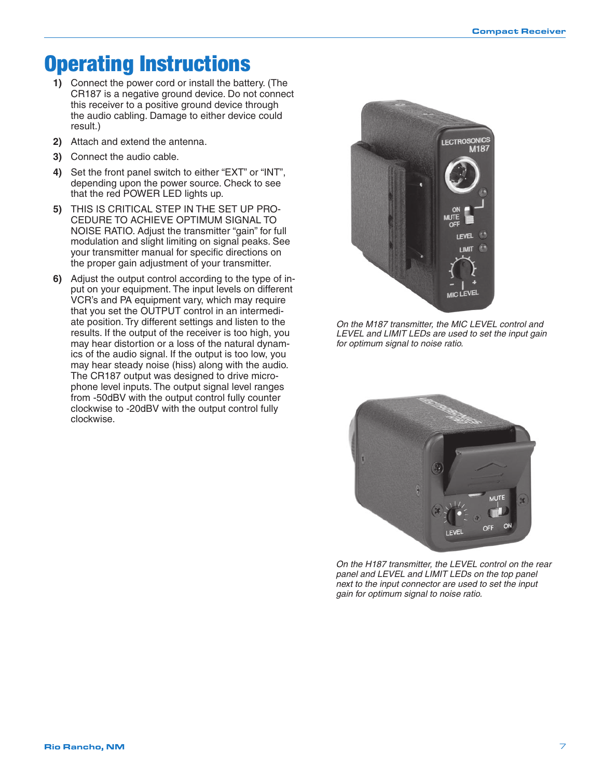# <span id="page-6-0"></span>Operating Instructions

- **1)** Connect the power cord or install the battery. (The CR187 is a negative ground device. Do not connect this receiver to a positive ground device through the audio cabling. Damage to either device could result.)
- **2)** Attach and extend the antenna.
- **3)** Connect the audio cable.
- **4)** Set the front panel switch to either "EXT" or "INT", depending upon the power source. Check to see that the red POWER LED lights up.
- **5)** THIS IS CRITICAL STEP IN THE SET UP PRO-CEDURE TO ACHIEVE OPTIMUM SIGNAL TO NOISE RATIO. Adjust the transmitter "gain" for full modulation and slight limiting on signal peaks. See your transmitter manual for specific directions on the proper gain adjustment of your transmitter.
- **6)** Adjust the output control according to the type of input on your equipment. The input levels on different VCR's and PA equipment vary, which may require that you set the OUTPUT control in an intermediate position. Try different settings and listen to the results. If the output of the receiver is too high, you may hear distortion or a loss of the natural dynamics of the audio signal. If the output is too low, you may hear steady noise (hiss) along with the audio. The CR187 output was designed to drive microphone level inputs. The output signal level ranges from -50dBV with the output control fully counter clockwise to -20dBV with the output control fully clockwise.



*On the M187 transmitter, the MIC LEVEL control and LEVEL and LIMIT LEDs are used to set the input gain for optimum signal to noise ratio.* 



*On the H187 transmitter, the LEVEL control on the rear panel and LEVEL and LIMIT LEDs on the top panel next to the input connector are used to set the input gain for optimum signal to noise ratio.*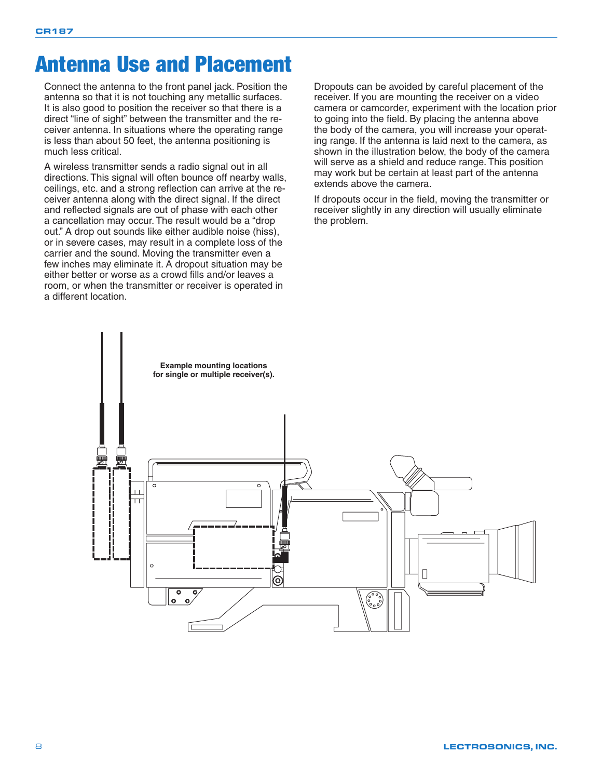# <span id="page-7-0"></span>Antenna Use and Placement

Connect the antenna to the front panel jack. Position the antenna so that it is not touching any metallic surfaces. It is also good to position the receiver so that there is a direct "line of sight" between the transmitter and the receiver antenna. In situations where the operating range is less than about 50 feet, the antenna positioning is much less critical.

A wireless transmitter sends a radio signal out in all directions. This signal will often bounce off nearby walls, ceilings, etc. and a strong reflection can arrive at the receiver antenna along with the direct signal. If the direct and reflected signals are out of phase with each other a cancellation may occur. The result would be a "drop out." A drop out sounds like either audible noise (hiss), or in severe cases, may result in a complete loss of the carrier and the sound. Moving the transmitter even a few inches may eliminate it. A dropout situation may be either better or worse as a crowd fills and/or leaves a room, or when the transmitter or receiver is operated in a different location.

Dropouts can be avoided by careful placement of the receiver. If you are mounting the receiver on a video camera or camcorder, experiment with the location prior to going into the field. By placing the antenna above the body of the camera, you will increase your operating range. If the antenna is laid next to the camera, as shown in the illustration below, the body of the camera will serve as a shield and reduce range. This position may work but be certain at least part of the antenna extends above the camera.

If dropouts occur in the field, moving the transmitter or receiver slightly in any direction will usually eliminate the problem.

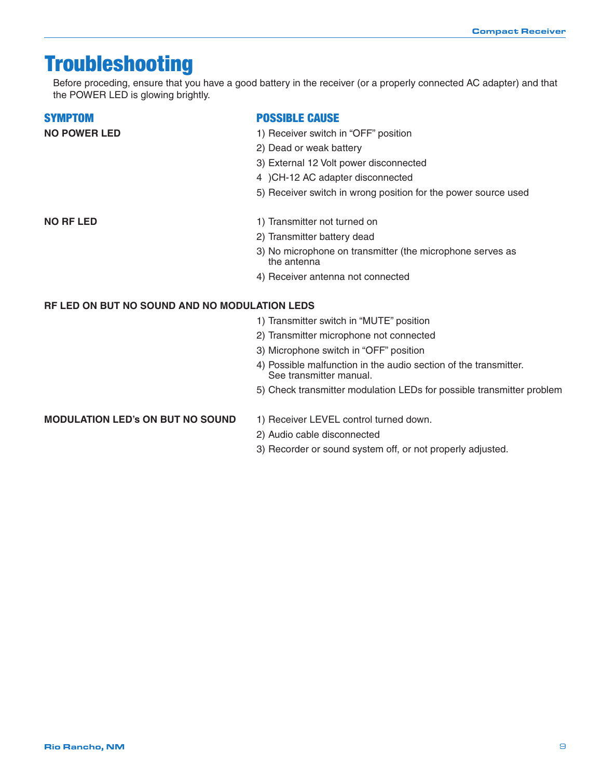# <span id="page-8-0"></span>Troubleshooting

Before proceding, ensure that you have a good battery in the receiver (or a properly connected AC adapter) and that the POWER LED is glowing brightly.

#### **SYMPTOM**

#### **POSSIBLE CAUSE**

- **NO POWER LED 1)** Receiver switch in "OFF" position
	- 2) Dead or weak battery
	- 3) External 12 Volt power disconnected
	- 4 )CH-12 AC adapter disconnected
	- 5) Receiver switch in wrong position for the power source used

- **NO RF LED** 1) Transmitter not turned on
	- 2) Transmitter battery dead
	- 3) No microphone on transmitter (the microphone serves as the antenna
	- 4) Receiver antenna not connected

#### **RF LED ON BUT NO SOUND AND NO MODULATION LEDS**

- 1) Transmitter switch in "MUTE" position
- 2) Transmitter microphone not connected
- 3) Microphone switch in "OFF" position

1) Receiver LEVEL control turned down.

- 4) Possible malfunction in the audio section of the transmitter. See transmitter manual.
- 5) Check transmitter modulation LEDs for possible transmitter problem

#### **MODULATION LED'S ON BUT NO SOUND**

- 2) Audio cable disconnected
- 3) Recorder or sound system off, or not properly adjusted.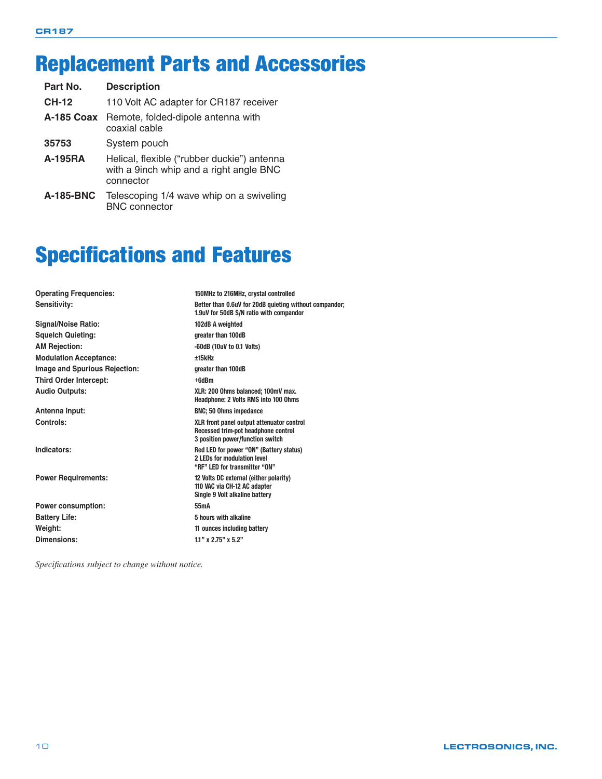# <span id="page-9-0"></span>Replacement Parts and Accessories

| Part No.          | <b>Description</b>                                                                                  |
|-------------------|-----------------------------------------------------------------------------------------------------|
| <b>CH-12</b>      | 110 Volt AC adapter for CR187 receiver                                                              |
| <b>A-185 Coax</b> | Remote, folded-dipole antenna with<br>coaxial cable                                                 |
| 35753             | System pouch                                                                                        |
| <b>A-195RA</b>    | Helical, flexible ("rubber duckie") antenna<br>with a 9inch whip and a right angle BNC<br>connector |
| <b>A-185-BNC</b>  | Telescoping 1/4 wave whip on a swiveling<br><b>BNC</b> connector                                    |

# Specifications and Features

| <b>Operating Frequencies:</b> | 150MHz to 216MHz, crystal controlled                                                                                 |
|-------------------------------|----------------------------------------------------------------------------------------------------------------------|
| Sensitivity:                  | Better than 0.6uV for 20dB quieting without compandor;<br>1.9uV for 50dB S/N ratio with compandor                    |
| <b>Signal/Noise Ratio:</b>    | 102dB A weighted                                                                                                     |
| <b>Squelch Quieting:</b>      | greater than 100dB                                                                                                   |
| <b>AM Rejection:</b>          | $-60dB$ (10uV to 0.1 Volts)                                                                                          |
| <b>Modulation Acceptance:</b> | $+15$ kHz                                                                                                            |
| Image and Spurious Rejection: | greater than 100dB                                                                                                   |
| <b>Third Order Intercept:</b> | $+6d$ Bm                                                                                                             |
| <b>Audio Outputs:</b>         | XLR: 200 Ohms balanced: 100mV max.<br><b>Headphone: 2 Volts RMS into 100 Ohms</b>                                    |
| Antenna Input:                | <b>BNC: 50 Ohms impedance</b>                                                                                        |
| Controls:                     | XLR front panel output attenuator control<br>Recessed trim-pot headphone control<br>3 position power/function switch |
| Indicators:                   | Red LED for power "ON" (Battery status)<br>2 LEDs for modulation level<br>"RF" LED for transmitter "ON"              |
| <b>Power Requirements:</b>    | 12 Volts DC external (either polarity)<br>110 VAC via CH-12 AC adapter<br>Single 9 Volt alkaline battery             |
| <b>Power consumption:</b>     | 55 <sub>m</sub> A                                                                                                    |
| <b>Battery Life:</b>          | 5 hours with alkaline                                                                                                |
| Weight:                       | 11 ounces including battery                                                                                          |
| Dimensions:                   | $1.1$ " x $2.75$ " x $5.2$ "                                                                                         |
|                               |                                                                                                                      |

*Specifications subject to change without notice.*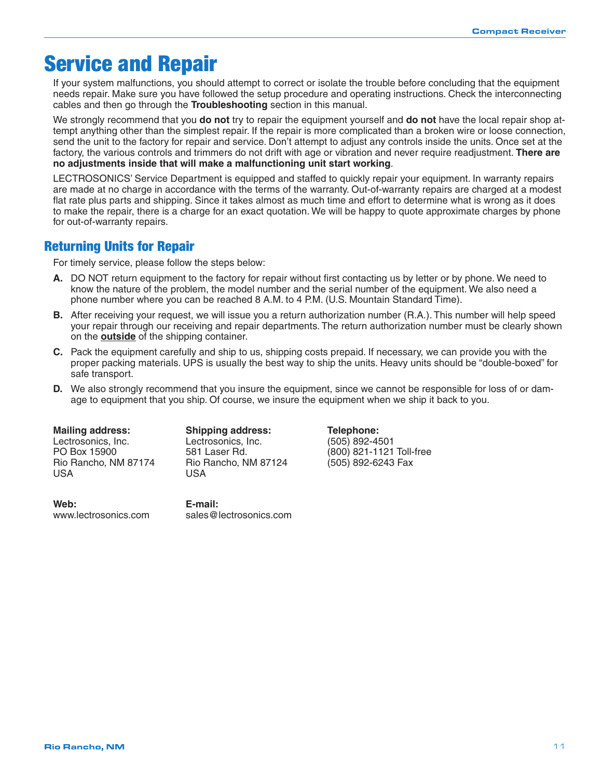## <span id="page-10-0"></span>Service and Repair

If your system malfunctions, you should attempt to correct or isolate the trouble before concluding that the equipment needs repair. Make sure you have followed the setup procedure and operating instructions. Check the interconnecting cables and then go through the **Troubleshooting** section in this manual.

We strongly recommend that you **do not** try to repair the equipment yourself and **do not** have the local repair shop attempt anything other than the simplest repair. If the repair is more complicated than a broken wire or loose connection, send the unit to the factory for repair and service. Don't attempt to adjust any controls inside the units. Once set at the factory, the various controls and trimmers do not drift with age or vibration and never require readjustment. **There are no adjustments inside that will make a malfunctioning unit start working**.

LECTROSONICS' Service Department is equipped and staffed to quickly repair your equipment. In warranty repairs are made at no charge in accordance with the terms of the warranty. Out-of-warranty repairs are charged at a modest flat rate plus parts and shipping. Since it takes almost as much time and effort to determine what is wrong as it does to make the repair, there is a charge for an exact quotation. We will be happy to quote approximate charges by phone for out-of-warranty repairs.

### Returning Units for Repair

For timely service, please follow the steps below:

- **A.** DO NOT return equipment to the factory for repair without first contacting us by letter or by phone. We need to know the nature of the problem, the model number and the serial number of the equipment. We also need a phone number where you can be reached 8 A.M. to 4 P.M. (U.S. Mountain Standard Time).
- **B.** After receiving your request, we will issue you a return authorization number (R.A.). This number will help speed your repair through our receiving and repair departments. The return authorization number must be clearly shown on the **outside** of the shipping container.
- **C.** Pack the equipment carefully and ship to us, shipping costs prepaid. If necessary, we can provide you with the proper packing materials. UPS is usually the best way to ship the units. Heavy units should be "double-boxed" for safe transport.
- **D.** We also strongly recommend that you insure the equipment, since we cannot be responsible for loss of or damage to equipment that you ship. Of course, we insure the equipment when we ship it back to you.

#### **Mailing address:**

Lectrosonics, Inc. PO Box 15900 Rio Rancho, NM 87174 Rio Rancho, NM 87124 (505) 892-6243 Fax **USA** 

Web: www.lectrosonics.com Lectrosonics, Inc. Lectrosonics, Inc. (505) 892-4501 **USA** 

E-mail: sales@lectrosonics.com

**Mailing address: Shipping address: Telephone:**  581 Laser Rd. (800) 821-1121 Toll-free